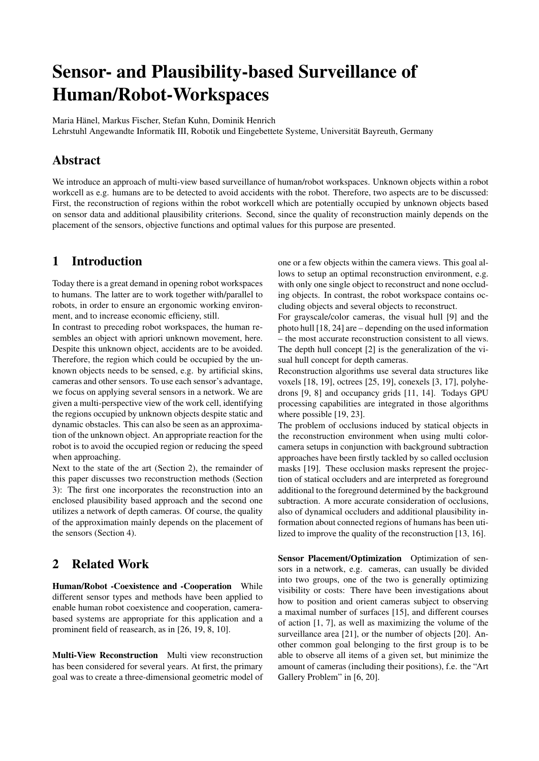# Sensor- and Plausibility-based Surveillance of Human/Robot-Workspaces

Maria Hänel, Markus Fischer, Stefan Kuhn, Dominik Henrich

Lehrstuhl Angewandte Informatik III, Robotik und Eingebettete Systeme, Universität Bayreuth, Germany

# Abstract

We introduce an approach of multi-view based surveillance of human/robot workspaces. Unknown objects within a robot workcell as e.g. humans are to be detected to avoid accidents with the robot. Therefore, two aspects are to be discussed: First, the reconstruction of regions within the robot workcell which are potentially occupied by unknown objects based on sensor data and additional plausibility criterions. Second, since the quality of reconstruction mainly depends on the placement of the sensors, objective functions and optimal values for this purpose are presented.

# 1 Introduction

Today there is a great demand in opening robot workspaces to humans. The latter are to work together with/parallel to robots, in order to ensure an ergonomic working environment, and to increase economic efficieny, still.

In contrast to preceding robot workspaces, the human resembles an object with apriori unknown movement, here. Despite this unknown object, accidents are to be avoided. Therefore, the region which could be occupied by the unknown objects needs to be sensed, e.g. by artificial skins, cameras and other sensors. To use each sensor's advantage, we focus on applying several sensors in a network. We are given a multi-perspective view of the work cell, identifying the regions occupied by unknown objects despite static and dynamic obstacles. This can also be seen as an approximation of the unknown object. An appropriate reaction for the robot is to avoid the occupied region or reducing the speed when approaching.

Next to the state of the art (Section 2), the remainder of this paper discusses two reconstruction methods (Section 3): The first one incorporates the reconstruction into an enclosed plausibility based approach and the second one utilizes a network of depth cameras. Of course, the quality of the approximation mainly depends on the placement of the sensors (Section 4).

# 2 Related Work

Human/Robot -Coexistence and -Cooperation While different sensor types and methods have been applied to enable human robot coexistence and cooperation, camerabased systems are appropriate for this application and a prominent field of reasearch, as in [26, 19, 8, 10].

Multi-View Reconstruction Multi view reconstruction has been considered for several years. At first, the primary goal was to create a three-dimensional geometric model of one or a few objects within the camera views. This goal allows to setup an optimal reconstruction environment, e.g. with only one single object to reconstruct and none occluding objects. In contrast, the robot workspace contains occluding objects and several objects to reconstruct.

For grayscale/color cameras, the visual hull [9] and the photo hull [18, 24] are – depending on the used information – the most accurate reconstruction consistent to all views. The depth hull concept [2] is the generalization of the visual hull concept for depth cameras.

Reconstruction algorithms use several data structures like voxels [18, 19], octrees [25, 19], conexels [3, 17], polyhedrons [9, 8] and occupancy grids [11, 14]. Todays GPU processing capabilities are integrated in those algorithms where possible [19, 23].

The problem of occlusions induced by statical objects in the reconstruction environment when using multi colorcamera setups in conjunction with background subtraction approaches have been firstly tackled by so called occlusion masks [19]. These occlusion masks represent the projection of statical occluders and are interpreted as foreground additional to the foreground determined by the background subtraction. A more accurate consideration of occlusions, also of dynamical occluders and additional plausibility information about connected regions of humans has been utilized to improve the quality of the reconstruction [13, 16].

Sensor Placement/Optimization Optimization of sensors in a network, e.g. cameras, can usually be divided into two groups, one of the two is generally optimizing visibility or costs: There have been investigations about how to position and orient cameras subject to observing a maximal number of surfaces [15], and different courses of action [1, 7], as well as maximizing the volume of the surveillance area [21], or the number of objects [20]. Another common goal belonging to the first group is to be able to observe all items of a given set, but minimize the amount of cameras (including their positions), f.e. the "Art Gallery Problem" in [6, 20].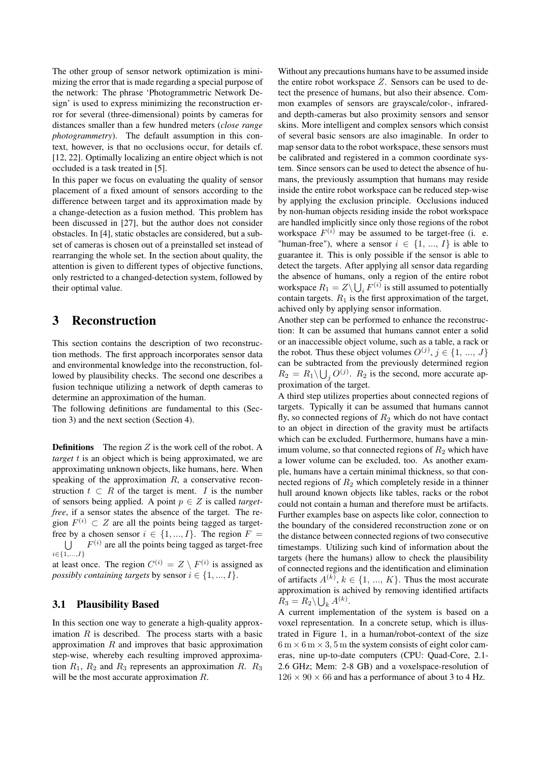The other group of sensor network optimization is minimizing the error that is made regarding a special purpose of the network: The phrase 'Photogrammetric Network Design' is used to express minimizing the reconstruction error for several (three-dimensional) points by cameras for distances smaller than a few hundred meters (*close range photogrammetry*). The default assumption in this context, however, is that no occlusions occur, for details cf. [12, 22]. Optimally localizing an entire object which is not occluded is a task treated in [5].

In this paper we focus on evaluating the quality of sensor placement of a fixed amount of sensors according to the difference between target and its approximation made by a change-detection as a fusion method. This problem has been discussed in [27], but the author does not consider obstacles. In [4], static obstacles are considered, but a subset of cameras is chosen out of a preinstalled set instead of rearranging the whole set. In the section about quality, the attention is given to different types of objective functions, only restricted to a changed-detection system, followed by their optimal value.

## 3 Reconstruction

This section contains the description of two reconstruction methods. The first approach incorporates sensor data and environmental knowledge into the reconstruction, followed by plausibility checks. The second one describes a fusion technique utilizing a network of depth cameras to determine an approximation of the human.

The following definitions are fundamental to this (Section 3) and the next section (Section 4).

**Definitions** The region  $Z$  is the work cell of the robot. A *target* t is an object which is being approximated, we are approximating unknown objects, like humans, here. When speaking of the approximation  $R$ , a conservative reconstruction  $t \subset R$  of the target is ment. I is the number of sensors being applied. A point  $p \in Z$  is called *targetfree*, if a sensor states the absence of the target. The region  $F^{(i)} \subset Z$  are all the points being tagged as targetfree by a chosen sensor  $i \in \{1, ..., I\}$ . The region  $F =$  $\cup$  $i\small{\in}\{1,\ldots,\!I\}$  $F^{(i)}$  are all the points being tagged as target-free

at least once. The region  $C^{(i)} = Z \setminus F^{(i)}$  is assigned as *possibly containing targets* by sensor  $i \in \{1, ..., I\}$ .

#### 3.1 Plausibility Based

In this section one way to generate a high-quality approximation  $R$  is described. The process starts with a basic approximation  $R$  and improves that basic approximation step-wise, whereby each resulting improved approximation  $R_1$ ,  $R_2$  and  $R_3$  represents an approximation R.  $R_3$ will be the most accurate approximation  $R$ .

Without any precautions humans have to be assumed inside the entire robot workspace  $Z$ . Sensors can be used to detect the presence of humans, but also their absence. Common examples of sensors are grayscale/color-, infraredand depth-cameras but also proximity sensors and sensor skins. More intelligent and complex sensors which consist of several basic sensors are also imaginable. In order to map sensor data to the robot workspace, these sensors must be calibrated and registered in a common coordinate system. Since sensors can be used to detect the absence of humans, the previously assumption that humans may reside inside the entire robot workspace can be reduced step-wise by applying the exclusion principle. Occlusions induced by non-human objects residing inside the robot workspace are handled implicitly since only those regions of the robot workspace  $F^{(i)}$  may be assumed to be target-free (i. e. "human-free"), where a sensor  $i \in \{1, ..., I\}$  is able to guarantee it. This is only possible if the sensor is able to detect the targets. After applying all sensor data regarding the absence of humans, only a region of the entire robot workspace  $R_1 = Z \setminus \bigcup_i F^{(i)}$  is still assumed to potentially contain targets.  $R_1$  is the first approximation of the target, achived only by applying sensor information.

Another step can be performed to enhance the reconstruction: It can be assumed that humans cannot enter a solid or an inaccessible object volume, such as a table, a rack or the robot. Thus these object volumes  $O^{(j)}$ ,  $j \in \{1, ..., J\}$ can be subtracted from the previously determined region  $R_2 = R_1 \setminus \bigcup_j O^{(j)}$ .  $R_2$  is the second, more accurate approximation of the target.

A third step utilizes properties about connected regions of targets. Typically it can be assumed that humans cannot fly, so connected regions of  $R_2$  which do not have contact to an object in direction of the gravity must be artifacts which can be excluded. Furthermore, humans have a minimum volume, so that connected regions of  $R_2$  which have a lower volume can be excluded, too. As another example, humans have a certain minimal thickness, so that connected regions of  $R_2$  which completely reside in a thinner hull around known objects like tables, racks or the robot could not contain a human and therefore must be artifacts. Further examples base on aspects like color, connection to the boundary of the considered reconstruction zone or on the distance between connected regions of two consecutive timestamps. Utilizing such kind of information about the targets (here the humans) allow to check the plausibility of connected regions and the identification and elimination of artifacts  $A^{(k)}$ ,  $k \in \{1, ..., K\}$ . Thus the most accurate approximation is achived by removing identified artifacts  $R_3 = R_2 \backslash \bigcup_k A^{(k)}$ .

A current implementation of the system is based on a voxel representation. In a concrete setup, which is illustrated in Figure 1, in a human/robot-context of the size  $6 \text{ m} \times 6 \text{ m} \times 3, 5 \text{ m}$  the system consists of eight color cameras, nine up-to-date computers (CPU: Quad-Core, 2.1- 2.6 GHz; Mem: 2-8 GB) and a voxelspace-resolution of  $126 \times 90 \times 66$  and has a performance of about 3 to 4 Hz.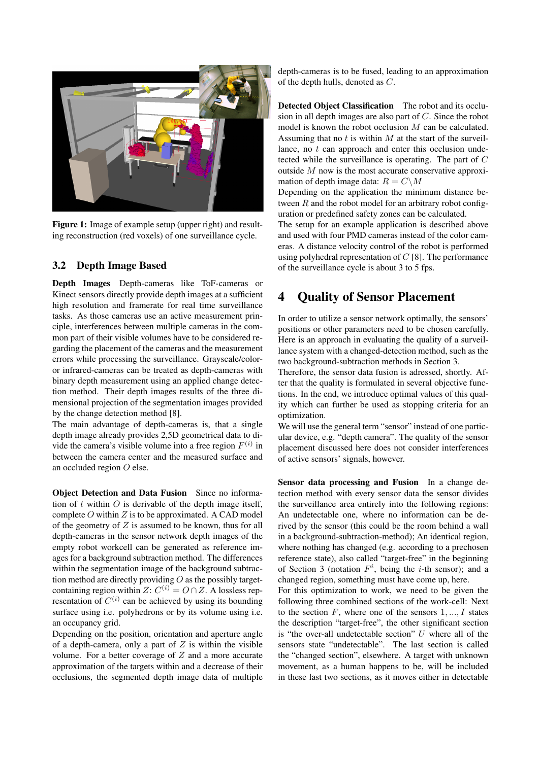

Figure 1: Image of example setup (upper right) and resulting reconstruction (red voxels) of one surveillance cycle.

#### 3.2 Depth Image Based

Depth Images Depth-cameras like ToF-cameras or Kinect sensors directly provide depth images at a sufficient high resolution and framerate for real time surveillance tasks. As those cameras use an active measurement principle, interferences between multiple cameras in the common part of their visible volumes have to be considered regarding the placement of the cameras and the measurement errors while processing the surveillance. Grayscale/coloror infrared-cameras can be treated as depth-cameras with binary depth measurement using an applied change detection method. Their depth images results of the three dimensional projection of the segmentation images provided by the change detection method [8].

The main advantage of depth-cameras is, that a single depth image already provides 2,5D geometrical data to divide the camera's visible volume into a free region  $F^{(i)}$  in between the camera center and the measured surface and an occluded region O else.

Object Detection and Data Fusion Since no information of t within  $O$  is derivable of the depth image itself, complete  $O$  within  $Z$  is to be approximated. A CAD model of the geometry of  $Z$  is assumed to be known, thus for all depth-cameras in the sensor network depth images of the empty robot workcell can be generated as reference images for a background subtraction method. The differences within the segmentation image of the background subtraction method are directly providing  $O$  as the possibly targetcontaining region within  $Z: C^{(i)} = O \cap Z$ . A lossless representation of  $C^{(i)}$  can be achieved by using its bounding surface using i.e. polyhedrons or by its volume using i.e. an occupancy grid.

Depending on the position, orientation and aperture angle of a depth-camera, only a part of  $Z$  is within the visible volume. For a better coverage of  $Z$  and a more accurate approximation of the targets within and a decrease of their occlusions, the segmented depth image data of multiple depth-cameras is to be fused, leading to an approximation of the depth hulls, denoted as C.

Detected Object Classification The robot and its occlusion in all depth images are also part of  $C$ . Since the robot model is known the robot occlusion M can be calculated. Assuming that no  $t$  is within  $M$  at the start of the surveillance, no t can approach and enter this occlusion undetected while the surveillance is operating. The part of C outside M now is the most accurate conservative approximation of depth image data:  $R = C \setminus M$ 

Depending on the application the minimum distance between  $R$  and the robot model for an arbitrary robot configuration or predefined safety zones can be calculated.

The setup for an example application is described above and used with four PMD cameras instead of the color cameras. A distance velocity control of the robot is performed using polyhedral representation of  $C$  [8]. The performance of the surveillance cycle is about 3 to 5 fps.

### 4 Quality of Sensor Placement

In order to utilize a sensor network optimally, the sensors' positions or other parameters need to be chosen carefully. Here is an approach in evaluating the quality of a surveillance system with a changed-detection method, such as the two background-subtraction methods in Section 3.

Therefore, the sensor data fusion is adressed, shortly. After that the quality is formulated in several objective functions. In the end, we introduce optimal values of this quality which can further be used as stopping criteria for an optimization.

We will use the general term "sensor" instead of one particular device, e.g. "depth camera". The quality of the sensor placement discussed here does not consider interferences of active sensors' signals, however.

Sensor data processing and Fusion In a change detection method with every sensor data the sensor divides the surveillance area entirely into the following regions: An undetectable one, where no information can be derived by the sensor (this could be the room behind a wall in a background-subtraction-method); An identical region, where nothing has changed (e.g. according to a prechosen reference state), also called "target-free" in the beginning of Section 3 (notation  $F^i$ , being the *i*-th sensor); and a changed region, something must have come up, here.

For this optimization to work, we need to be given the following three combined sections of the work-cell: Next to the section  $F$ , where one of the sensors  $1, \ldots, I$  states the description "target-free", the other significant section is "the over-all undetectable section"  $U$  where all of the sensors state "undetectable". The last section is called the "changed section", elsewhere. A target with unknown movement, as a human happens to be, will be included in these last two sections, as it moves either in detectable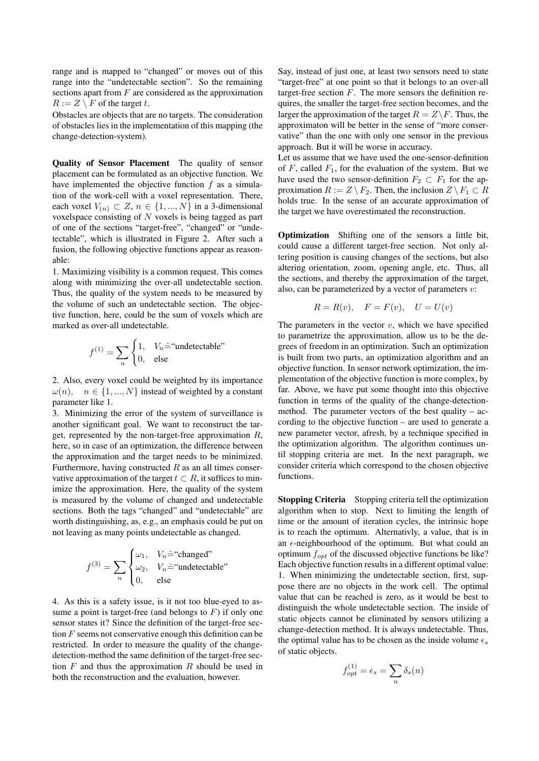range and is mapped to "changed" or moves out of this range into the "undetectable section". So the remaining sections apart from  $F$  are considered as the approximation  $R := Z \setminus F$  of the target t.

Obstacles are objects that are no targets. The consideration of obstacles lies in the implementation of this mapping (the change-detection-system).

Quality of Sensor Placement The quality of sensor placement can be formulated as an objective function. We have implemented the objective function  $f$  as a simulation of the work-cell with a voxel representation. There, each voxel  $V_{(n)} \subset Z$ ,  $n \in \{1, ..., N\}$  in a 3-dimensional voxelspace consisting of N voxels is being tagged as part of one of the sections "target-free", "changed" or "undetectable", which is illustrated in Figure 2. After such a fusion, the following objective functions appear as reasonable:

1. Maximizing visibility is a common request. This comes along with minimizing the over-all undetectable section. Thus, the quality of the system needs to be measured by the volume of such an undetectable section. The objective function, here, could be the sum of voxels which are marked as over-all undetectable.

$$
f^{(1)} = \sum_{n} \begin{cases} 1, & V_n \hat{=} \text{``undetectable''} \\ 0, & \text{else} \end{cases}
$$

2. Also, every voxel could be weighted by its importance  $\omega(n)$ ,  $n \in \{1, ..., N\}$  instead of weighted by a constant parameter like 1.

3. Minimizing the error of the system of surveillance is another significant goal. We want to reconstruct the target, represented by the non-target-free approximation  $R$ , here, so in case of an optimization, the difference between the approximation and the target needs to be minimized. Furthermore, having constructed  $R$  as an all times conservative approximation of the target  $t \subset R$ , it suffices to minimize the approximation. Here, the quality of the system is measured by the volume of changed and undetectable sections. Both the tags "changed" and "undetectable" are worth distinguishing, as, e.g., an emphasis could be put on not leaving as many points undetectable as changed.

$$
f^{(3)} = \sum_{n} \begin{cases} \omega_1, & V_n \hat{=} \text{``changed''} \\ \omega_2, & V_n \hat{=} \text{``undetectable''} \\ 0, & \text{else} \end{cases}
$$

4. As this is a safety issue, is it not too blue-eyed to assume a point is target-free (and belongs to  $F$ ) if only one sensor states it? Since the definition of the target-free section F seems not conservative enough this definition can be restricted. In order to measure the quality of the changedetection-method the same definition of the target-free section  $F$  and thus the approximation  $R$  should be used in both the reconstruction and the evaluation, however.

Say, instead of just one, at least two sensors need to state "target-free" at one point so that it belongs to an over-all target-free section  $F$ . The more sensors the definition requires, the smaller the target-free section becomes, and the larger the approximation of the target  $R = Z\backslash F$ . Thus, the approximaton will be better in the sense of "more conservative" than the one with only one sensor in the previous approach. But it will be worse in accuracy.

Let us assume that we have used the one-sensor-definition of F, called  $F_1$ , for the evaluation of the system. But we have used the two sensor-definition  $F_2 \subset F_1$  for the approximation  $R := Z \setminus F_2$ . Then, the inclusion  $Z \setminus F_1 \subset R$ holds true. In the sense of an accurate approximation of the target we have overestimated the reconstruction.

Optimization Shifting one of the sensors a little bit, could cause a different target-free section. Not only altering position is causing changes of the sections, but also altering orientation, zoom, opening angle, etc. Thus, all the sections, and thereby the approximation of the target, also, can be parameterized by a vector of parameters  $v$ :

$$
R = R(v), \quad F = F(v), \quad U = U(v)
$$

The parameters in the vector  $v$ , which we have specified to parametrize the approximation, allow us to be the degrees of freedom in an optimization. Such an optimization is built from two parts, an optimization algorithm and an objective function. In sensor network optimization, the implementation of the objective function is more complex, by far. Above, we have put some thought into this objective function in terms of the quality of the change-detectionmethod. The parameter vectors of the best quality – according to the objective function – are used to generate a new parameter vector, afresh, by a technique specified in the optimization algorithm. The algorithm continues until stopping criteria are met. In the next paragraph, we consider criteria which correspond to the chosen objective functions.

Stopping Criteria Stopping criteria tell the optimization algorithm when to stop. Next to limiting the length of time or the amount of iteration cycles, the intrinsic hope is to reach the optimum. Alternativly, a value, that is in an  $\epsilon$ -neighbourhood of the optimum. But what could an optimum  $f_{opt}$  of the discussed objective functions be like? Each objective function results in a different optimal value: 1. When minimizing the undetectable section, first, suppose there are no objects in the work cell. The optimal value that can be reached is zero, as it would be best to distinguish the whole undetectable section. The inside of static objects cannot be eliminated by sensors utilizing a change-detection method. It is always undetectable. Thus, the optimal value has to be chosen as the inside volume  $\epsilon_s$ of static objects.

$$
f_{opt}^{(1)} = \epsilon_s = \sum_n \delta_s(n)
$$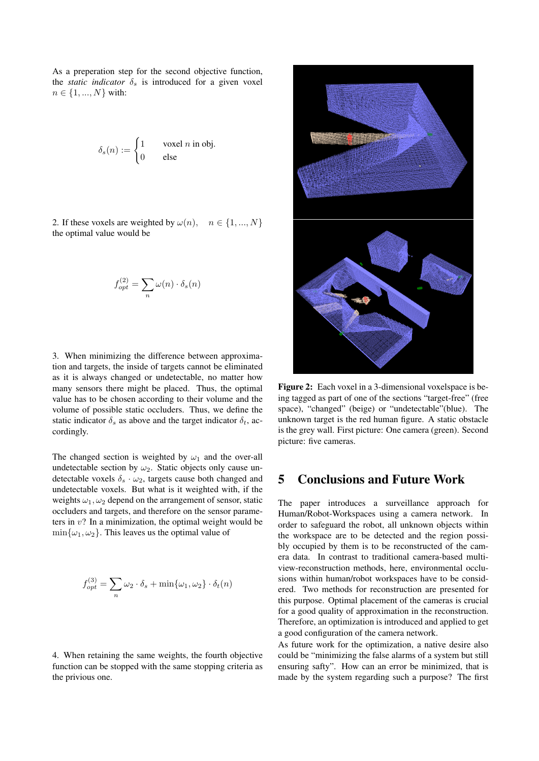As a preperation step for the second objective function, the *static indicator*  $\delta_s$  is introduced for a given voxel  $n \in \{1, ..., N\}$  with:

$$
\delta_s(n) := \begin{cases} 1 & \text{voxel } n \text{ in obj.} \\ 0 & \text{else} \end{cases}
$$

2. If these voxels are weighted by  $\omega(n)$ ,  $n \in \{1, ..., N\}$ the optimal value would be

$$
f_{opt}^{(2)} = \sum_{n} \omega(n) \cdot \delta_s(n)
$$

3. When minimizing the difference between approximation and targets, the inside of targets cannot be eliminated as it is always changed or undetectable, no matter how many sensors there might be placed. Thus, the optimal value has to be chosen according to their volume and the volume of possible static occluders. Thus, we define the static indicator  $\delta_s$  as above and the target indicator  $\delta_t$ , accordingly.

The changed section is weighted by  $\omega_1$  and the over-all undetectable section by  $\omega_2$ . Static objects only cause undetectable voxels  $\delta_s \cdot \omega_2$ , targets cause both changed and undetectable voxels. But what is it weighted with, if the weights  $\omega_1, \omega_2$  depend on the arrangement of sensor, static occluders and targets, and therefore on the sensor parameters in  $v$ ? In a minimization, the optimal weight would be  $\min{\{\omega_1, \omega_2\}}$ . This leaves us the optimal value of

$$
f_{opt}^{(3)} = \sum_{n} \omega_2 \cdot \delta_s + \min\{\omega_1, \omega_2\} \cdot \delta_t(n)
$$

4. When retaining the same weights, the fourth objective function can be stopped with the same stopping criteria as the privious one.



Figure 2: Each voxel in a 3-dimensional voxelspace is being tagged as part of one of the sections "target-free" (free space), "changed" (beige) or "undetectable"(blue). The unknown target is the red human figure. A static obstacle is the grey wall. First picture: One camera (green). Second picture: five cameras.

### 5 Conclusions and Future Work

The paper introduces a surveillance approach for Human/Robot-Workspaces using a camera network. In order to safeguard the robot, all unknown objects within the workspace are to be detected and the region possibly occupied by them is to be reconstructed of the camera data. In contrast to traditional camera-based multiview-reconstruction methods, here, environmental occlusions within human/robot workspaces have to be considered. Two methods for reconstruction are presented for this purpose. Optimal placement of the cameras is crucial for a good quality of approximation in the reconstruction. Therefore, an optimization is introduced and applied to get a good configuration of the camera network.

As future work for the optimization, a native desire also could be "minimizing the false alarms of a system but still ensuring safty". How can an error be minimized, that is made by the system regarding such a purpose? The first